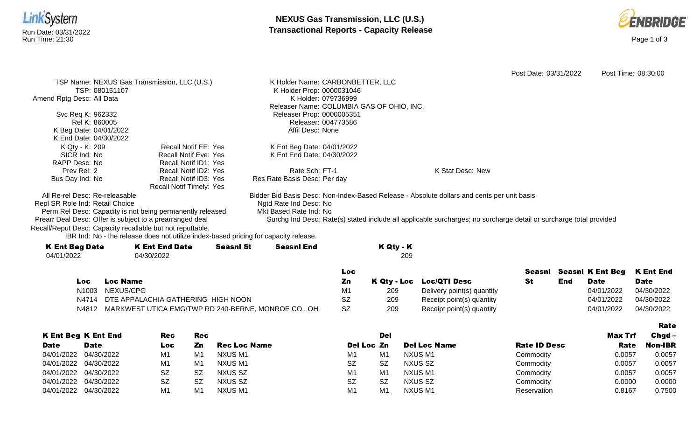

Date



|                                                              |                                                                                      |                  |                                  |                     |                                           |                                                                                                                    | Post Date: 03/31/2022 |     |                         | Post Time: 08:30:00 |
|--------------------------------------------------------------|--------------------------------------------------------------------------------------|------------------|----------------------------------|---------------------|-------------------------------------------|--------------------------------------------------------------------------------------------------------------------|-----------------------|-----|-------------------------|---------------------|
| TSP Name: NEXUS Gas Transmission, LLC (U.S.)                 |                                                                                      |                  | K Holder Name: CARBONBETTER, LLC |                     |                                           |                                                                                                                    |                       |     |                         |                     |
| TSP: 080151107                                               |                                                                                      |                  | K Holder Prop: 0000031046        |                     |                                           |                                                                                                                    |                       |     |                         |                     |
| Amend Rptg Desc: All Data                                    |                                                                                      |                  |                                  | K Holder: 079736999 |                                           |                                                                                                                    |                       |     |                         |                     |
|                                                              |                                                                                      |                  |                                  |                     | Releaser Name: COLUMBIA GAS OF OHIO, INC. |                                                                                                                    |                       |     |                         |                     |
| Svc Req K: 962332                                            |                                                                                      |                  | Releaser Prop: 0000005351        |                     |                                           |                                                                                                                    |                       |     |                         |                     |
| Rel K: 860005                                                |                                                                                      |                  |                                  | Releaser: 004773586 |                                           |                                                                                                                    |                       |     |                         |                     |
| K Beg Date: 04/01/2022                                       |                                                                                      |                  | Affil Desc: None                 |                     |                                           |                                                                                                                    |                       |     |                         |                     |
| K End Date: 04/30/2022                                       |                                                                                      |                  |                                  |                     |                                           |                                                                                                                    |                       |     |                         |                     |
| K Qty - K: 209                                               | <b>Recall Notif EE: Yes</b>                                                          |                  | K Ent Beg Date: 04/01/2022       |                     |                                           |                                                                                                                    |                       |     |                         |                     |
| SICR Ind: No                                                 | <b>Recall Notif Eve: Yes</b>                                                         |                  | K Ent End Date: 04/30/2022       |                     |                                           |                                                                                                                    |                       |     |                         |                     |
| RAPP Desc: No                                                | <b>Recall Notif ID1: Yes</b>                                                         |                  |                                  |                     |                                           |                                                                                                                    |                       |     |                         |                     |
| Prev Rel: 2                                                  | Recall Notif ID2: Yes                                                                |                  | Rate Sch: FT-1                   |                     |                                           | K Stat Desc: New                                                                                                   |                       |     |                         |                     |
| Bus Day Ind: No                                              | Recall Notif ID3: Yes                                                                |                  | Res Rate Basis Desc: Per day     |                     |                                           |                                                                                                                    |                       |     |                         |                     |
|                                                              | Recall Notif Timely: Yes                                                             |                  |                                  |                     |                                           |                                                                                                                    |                       |     |                         |                     |
| All Re-rel Desc: Re-releasable                               |                                                                                      |                  |                                  |                     |                                           | Bidder Bid Basis Desc: Non-Index-Based Release - Absolute dollars and cents per unit basis                         |                       |     |                         |                     |
| Repl SR Role Ind: Retail Choice                              |                                                                                      |                  | Ngtd Rate Ind Desc: No           |                     |                                           |                                                                                                                    |                       |     |                         |                     |
| Perm Rel Desc: Capacity is not being permanently released    |                                                                                      |                  | Mkt Based Rate Ind: No           |                     |                                           |                                                                                                                    |                       |     |                         |                     |
| Prearr Deal Desc: Offer is subject to a prearranged deal     |                                                                                      |                  |                                  |                     |                                           | Surchg Ind Desc: Rate(s) stated include all applicable surcharges; no surcharge detail or surcharge total provided |                       |     |                         |                     |
| Recall/Reput Desc: Capacity recallable but not reputtable.   |                                                                                      |                  |                                  |                     |                                           |                                                                                                                    |                       |     |                         |                     |
|                                                              | IBR Ind: No - the release does not utilize index-based pricing for capacity release. |                  |                                  |                     |                                           |                                                                                                                    |                       |     |                         |                     |
| <b>K Ent Beg Date</b>                                        | <b>K Ent End Date</b>                                                                | <b>Seasnl St</b> | <b>Seasnl End</b>                |                     | K Qty - K                                 |                                                                                                                    |                       |     |                         |                     |
| 04/01/2022                                                   | 04/30/2022                                                                           |                  |                                  |                     | 209                                       |                                                                                                                    |                       |     |                         |                     |
|                                                              |                                                                                      |                  |                                  | <b>Loc</b>          |                                           |                                                                                                                    |                       |     | <b>Seasnl K Ent Beg</b> | <b>K Ent End</b>    |
|                                                              |                                                                                      |                  |                                  |                     |                                           |                                                                                                                    | Seasnl                |     |                         |                     |
| <b>Loc Name</b><br>Loc                                       |                                                                                      |                  |                                  | Zn                  | K Qty - Loc                               | <b>Loc/QTI Desc</b>                                                                                                | <b>St</b>             | End | <b>Date</b>             | <b>Date</b>         |
| N <sub>1003</sub>                                            | NEXUS/CPG                                                                            |                  |                                  | M1<br><b>SZ</b>     | 209                                       | Delivery point(s) quantity                                                                                         |                       |     | 04/01/2022              | 04/30/2022          |
| DTE APPALACHIA GATHERING HIGH NOON<br>N4714                  |                                                                                      |                  |                                  |                     | 209                                       | Receipt point(s) quantity                                                                                          |                       |     | 04/01/2022              | 04/30/2022          |
| MARKWEST UTICA EMG/TWP RD 240-BERNE, MONROE CO., OH<br>N4812 |                                                                                      |                  |                                  |                     | 209                                       | Receipt point(s) quantity                                                                                          |                       |     | 04/01/2022              | 04/30/2022          |

K Ent Beg K Ent End Date Rec Loc Rec Zn Rec Loc Name Del Loc Zn Del Del Loc Name Rate ID Desc Max Trf Rate Rate Chgd-Non-IBR 04/01/2022 04/30/2022 M1 M1 NXUS M1 M1 M1 NXUS M1 Commodity 0.0057 0.0057 04/01/2022 04/30/2022 M1 M1 NXUS M1 SZ SZ SZ NXUS SZ Commodity 0.0057 0.0057 04/01/2022 04/30/2022 SZ SZ NXUS SZ MXUS SZ MXUS M1 M1 NXUS M1 Commodity 0.0057 0.0057 04/01/2022 04/30/2022 SZ SZ NXUS SZ SZ SZ SZ NXUS SZ SZ NXUS SZ Commodity 0.0000 0.0000 04/01/2022 04/30/2022 M1 M1 NXUS M1 M1 M1 NXUS M1 Reservation 0.8167 0.7500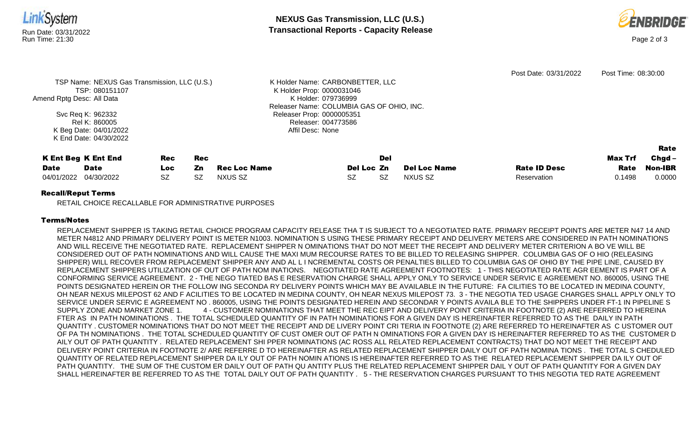



| TSP: 080151107<br>Amend Rptg Desc: All Data<br>Svc Req K: 962332<br>Rel K: 860005<br>K Beg Date: 04/01/2022    | TSP Name: NEXUS Gas Transmission, LLC (U.S.) |                               |                                | K Holder Name: CARBONBETTER, LLC<br>K Holder Prop: 0000031046<br>K Holder: 079736999<br>Releaser Name: COLUMBIA GAS OF OHIO, INC.<br>Releaser Prop: 0000005351<br>Releaser: 004773586<br>Affil Desc: None |            |                                | Post Date: 03/31/2022              | Post Time: 08:30:00       |                                              |
|----------------------------------------------------------------------------------------------------------------|----------------------------------------------|-------------------------------|--------------------------------|-----------------------------------------------------------------------------------------------------------------------------------------------------------------------------------------------------------|------------|--------------------------------|------------------------------------|---------------------------|----------------------------------------------|
| K End Date: 04/30/2022<br><b>K Ent Beg K Ent End</b><br><b>Date</b><br><b>Date</b><br>04/30/2022<br>04/01/2022 | <b>Rec</b><br>Loc.<br><b>SZ</b>              | <b>Rec</b><br>Zn<br><b>SZ</b> | <b>Rec Loc Name</b><br>NXUS SZ | Del Loc Zn<br><b>SZ</b>                                                                                                                                                                                   | Del<br>SZ. | <b>Del Loc Name</b><br>NXUS SZ | <b>Rate ID Desc</b><br>Reservation | Max Trf<br>Rate<br>0.1498 | Rate<br>$Chgd -$<br><b>Non-IBR</b><br>0.0000 |

## Recall/Reput Terms

RETAIL CHOICE RECALLABLE FOR ADMINISTRATIVE PURPOSES

## Terms/Notes

REPLACEMENT SHIPPER IS TAKING RETAIL CHOICE PROGRAM CAPACITY RELEASE THA T IS SUBJECT TO A NEGOTIATED RATE. PRIMARY RECEIPT POINTS ARE METER N47 14 AND METER N4812 AND PRIMARY DELIVERY POINT IS METER N1003. NOMINATION S USING THESE PRIMARY RECEIPT AND DELIVERY METERS ARE CONSIDERED IN PATH NOMINATIONS AND WILL RECEIVE THE NEGOTIATED RATE. REPLACEMENT SHIPPER N OMINATIONS THAT DO NOT MEET THE RECEIPT AND DELIVERY METER CRITERION A BO VE WILL BE CONSIDERED OUT OF PATH NOMINATIONS AND WILL CAUSE THE MAXI MUM RECOURSE RATES TO BE BILLED TO RELEASING SHIPPER. COLUMBIA GAS OF O HIO (RELEASING SHIPPER) WILL RECOVER FROM REPLACEMENT SHIPPER ANY AND AL L I NCREMENTAL COSTS OR PENALTIES BILLED TO COLUMBIA GAS OF OHIO BY THE PIPE LINE, CAUSED BY REPLACEMENT SHIPPERS UTILIZATION OF OUT OF PATH NOM INATIONS. NEGOTIATED RATE AGREEMENT FOOTNOTES: 1 - THIS NEGOTIATED RATE AGR EEMENT IS PART OF A CONFORMING SERVICE AGREEMENT. 2 - THE NEGO TIATED BAS E RESERVATION CHARGE SHALL APPLY ONLY TO SERVICE UNDER SERVIC E AGREEMENT NO. 860005, USING THE POINTS DESIGNATED HEREIN OR THE FOLLOW ING SECONDA RY DELIVERY POINTS WHICH MAY BE AVAILABLE IN THE FUTURE: FA CILITIES TO BE LOCATED IN MEDINA COUNTY, OH NEAR NEXUS MILEPOST 62 AND F ACILITIES TO BE LOCATED IN MEDINA COUNTY, OH NEAR NEXUS MILEPOST 73. 3 - THE NEGOTIA TED USAGE CHARGES SHALL APPLY ONLY TO SERVICE UNDER SERVIC E AGREEMENT NO . 860005, USING THE POINTS DESIGNATED HEREIN AND SECONDAR Y POINTS AVAILA BLE TO THE SHIPPERS UNDER FT-1 IN PIPELINE S SUPPLY ZONE AND MARKET ZONE 1. 4 - CUSTOMER NOMINATIONS THAT MEET THE REC EIPT AND DELIVERY POINT CRITERIA IN FOOTNOTE (2) ARE REFERRED TO HEREINA FTER AS IN PATH NOMINATIONS . THE TOTAL SCHEDULED QUANTITY OF IN PATH NOMINATIONS FOR A GIVEN DAY IS HEREINAFTER REFERRED TO AS THE DAILY IN PATH QUANTITY . CUSTOMER NOMINATIONS THAT DO NOT MEET THE RECEIPT AND DE LIVERY POINT CRI TERIA IN FOOTNOTE (2) ARE REFERRED TO HEREINAFTER AS C USTOMER OUT OF PA TH NOMINATIONS . THE TOTAL SCHEDULED QUANTITY OF CUST OMER OUT OF PATH N OMINATIONS FOR A GIVEN DAY IS HEREINAFTER REFERRED TO AS THE CUSTOMER D AILY OUT OF PATH QUANTITY . RELATED REPLACEMENT SHI PPER NOMINATIONS (AC ROSS ALL RELATED REPLACEMENT CONTRACTS) THAT DO NOT MEET THE RECEIPT AND DELIVERY POINT CRITERIA IN FOOTNOTE 2/ ARE REFERRE D TO HEREINAFTER AS RELATED REPLACEMENT SHIPPER DAILY OUT OF PATH NOMINA TIONS . THE TOTAL S CHEDULED QUANTITY OF RELATED REPLACEMENT SHIPPER DA ILY OUT OF PATH NOMIN ATIONS IS HEREINAFTER REFERRED TO AS THE RELATED REPLACEMENT SHIPPER DA ILY OUT OF PATH QUANTITY. THE SUM OF THE CUSTOM ER DAILY OUT OF PATH QU ANTITY PLUS THE RELATED REPLACEMENT SHIPPER DAIL Y OUT OF PATH QUANTITY FOR A GIVEN DAY SHALL HEREINAFTER BE REFERRED TO AS THE TOTAL DAILY OUT OF PATH QUANTITY . 5 - THE RESERVATION CHARGES PURSUANT TO THIS NEGOTIA TED RATE AGREEMENT